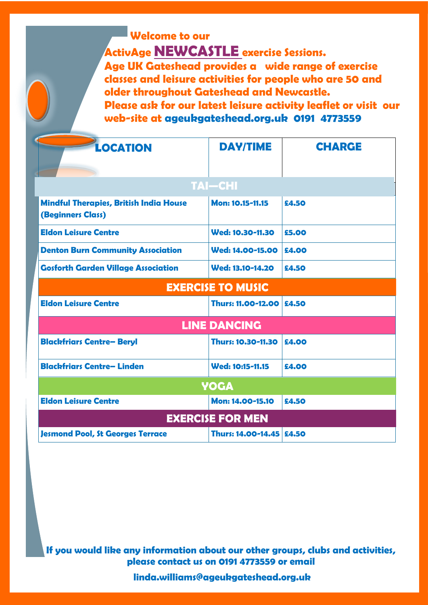# **Welcome to our ActivAge NEWCASTLE exercise Sessions.**

**Age UK Gateshead provides a wide range of exercise classes and leisure activities for people who are 50 and older throughout Gateshead and Newcastle.** 

**Please ask for our latest leisure activity leaflet or visit our web-site at ageukgateshead.org.uk 0191 4773559**

| <b>LOCATION</b>                                                           | <b>DAY/TIME</b>          | <b>CHARGE</b> |
|---------------------------------------------------------------------------|--------------------------|---------------|
|                                                                           |                          |               |
| <b>TAI-CHI</b>                                                            |                          |               |
| <b>Mindful Therapies, British India House</b><br><b>(Beginners Class)</b> | Mon: 10.15-11.15         | £4.50         |
| <b>Eldon Leisure Centre</b>                                               | Wed: 10.30-11.30         | £5.00         |
| <b>Denton Burn Community Association</b>                                  | Wed: 14.00-15.00         | £4.00         |
| <b>Gosforth Garden Village Association</b>                                | Wed: 13.10-14.20         | £4.50         |
| <b>EXERCISE TO MUSIC</b>                                                  |                          |               |
| <b>Eldon Leisure Centre</b>                                               | Thurs: 11.00-12.00       | £4.50         |
| <b>LINE DANCING</b>                                                       |                          |               |
| <b>Blackfriars Centre- Beryl</b>                                          | Thurs: 10.30-11.30       | £4.00         |
| <b>Blackfriars Centre-Linden</b>                                          | Wed: 10:15-11.15         | £4.00         |
| <b>YOGA</b>                                                               |                          |               |
| <b>Eldon Leisure Centre</b>                                               | Mon: 14.00-15.10         | £4.50         |
| <b>EXERCISE FOR MEN</b>                                                   |                          |               |
| <b>Jesmond Pool, St Georges Terrace</b>                                   | Thurs: 14.00-14.45 £4.50 |               |

**If you would like any information about our other groups, clubs and activities, please contact us on 0191 4773559 or email**

 **linda.williams@ageukgateshead.org.uk**